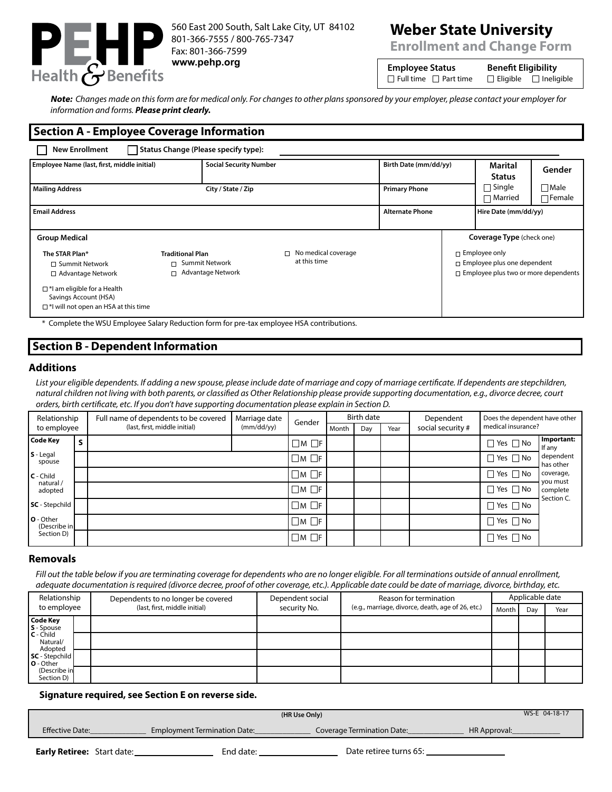

560 East 200 South, Salt Lake City, UT 84102 801-366-7555 / 800-765-7347 Fax: 801-366-7599 **www.pehp.org Employee Status Benefit Eligibility**

# **Weber State University**

**Enrollment and Change Form**

| <b>Employee Status</b> |                                   |
|------------------------|-----------------------------------|
|                        | $\Box$ Full time $\Box$ Part time |

 $\Box$  Eligible  $\Box$  Ineligible

**Note:** *Changes made on this form are for medical only. For changes to other plans sponsored by your employer, please contact your employer for information and forms. Please print clearly.*

## **Section A - Employee Coverage Information**

|                                                                         |                                            |                               |                      | Marital<br><b>Status</b>   | Gender                                                                                                                                        |
|-------------------------------------------------------------------------|--------------------------------------------|-------------------------------|----------------------|----------------------------|-----------------------------------------------------------------------------------------------------------------------------------------------|
| City / State / Zip                                                      |                                            |                               |                      | $\Box$ Single<br>∏ Married | $\Box$ Male<br>$\Box$ Female                                                                                                                  |
|                                                                         |                                            | <b>Alternate Phone</b>        |                      | Hire Date (mm/dd/yy)       |                                                                                                                                               |
|                                                                         |                                            |                               |                      |                            |                                                                                                                                               |
| <b>Traditional Plan</b><br>□ Summit Network<br>$\Box$ Advantage Network | $\Box$ No medical coverage<br>at this time |                               |                      |                            |                                                                                                                                               |
|                                                                         |                                            | <b>Social Security Number</b> | <b>Primary Phone</b> | Birth Date (mm/dd/yy)      | <b>Coverage Type</b> (check one)<br>$\Box$ Employee only<br>$\Box$ Employee plus one dependent<br>$\Box$ Employee plus two or more dependents |

# **Section B - Dependent Information**

## **Additions**

List your eligible dependents. If adding a new spouse, please include date of marriage and copy of marriage certificate. If dependents are stepchildren, *natural children not living with both parents, or classified as Other Relationship please provide supporting documentation, e.g., divorce decree, court orders, birth certificate, etc. If you don't have supporting documentation please explain in Section D.*

| Relationship              |  | Full name of dependents to be covered | Marriage date | Gender            | Birth date |     |      | Dependent         | Does the dependent have other |                        |  |
|---------------------------|--|---------------------------------------|---------------|-------------------|------------|-----|------|-------------------|-------------------------------|------------------------|--|
| to employee               |  | (last, first, middle initial)         | (mm/dd/yy)    |                   | Month      | Day | Year | social security # | medical insurance?            |                        |  |
| Code Key                  |  |                                       |               | $\Box$ M $\Box$ F |            |     |      |                   | $\Box$ Yes $\Box$ No          | Important:<br>If any   |  |
| $S - Legal$<br>spouse     |  |                                       |               | $\Box M$ $\Box F$ |            |     |      |                   | $\Box$ Yes $\Box$ No          | dependent<br>has other |  |
| $C - Child$               |  |                                       |               | $\Box M$ $\Box F$ |            |     |      |                   | $\Box$ Yes $\Box$ No          | coverage,<br>you must  |  |
| natural /<br>adopted      |  |                                       |               | $\Box M$ $\Box F$ |            |     |      |                   | $\Box$ Yes $\Box$ No          | complete<br>Section C. |  |
| <b>SC</b> - Stepchild     |  |                                       |               | $\Box M$ $\Box F$ |            |     |      |                   | $\Box$ Yes $\Box$ No          |                        |  |
| O - Other<br>(Describe in |  |                                       |               | $\Box M$ $\Box F$ |            |     |      |                   | $\Box$ Yes $\Box$ No          |                        |  |
| Section D)                |  |                                       |               | $\Box M$ $\Box F$ |            |     |      |                   | $\Box$ Yes $\Box$ No          |                        |  |

### **Removals**

*Fill out the table below if you are terminating coverage for dependents who are no longer eligible. For all terminations outside of annual enrollment, adequate documentation is required (divorce decree, proof of other coverage, etc.). Applicable date could be date of marriage, divorce, birthday, etc.*

| Relationship<br>to employee        |  | Dependents to no longer be covered | Dependent social | Reason for termination                                     | Applicable date |     |      |
|------------------------------------|--|------------------------------------|------------------|------------------------------------------------------------|-----------------|-----|------|
|                                    |  | (last, first, middle initial)      | security No.     | (e.g., marriage, divorce, death, age of 26, etc.)<br>Month |                 | Day | Year |
| <b>Code Key</b><br>S - Spouse      |  |                                    |                  |                                                            |                 |     |      |
| $C - Child$<br>Natural/<br>Adopted |  |                                    |                  |                                                            |                 |     |      |
| SC - Stepchild<br><b>O</b> - Other |  |                                    |                  |                                                            |                 |     |      |
| (Describe in<br>Section D)         |  |                                    |                  |                                                            |                 |     |      |

#### **Signature required, see Section E on reverse side.**

| WS-E 04-18-17<br>(HR Use Only) |                                     |                            |              |  |  |
|--------------------------------|-------------------------------------|----------------------------|--------------|--|--|
| <b>Effective Date:</b>         | <b>Employment Termination Date:</b> | Coverage Termination Date: | HR Approval: |  |  |
|                                |                                     |                            |              |  |  |